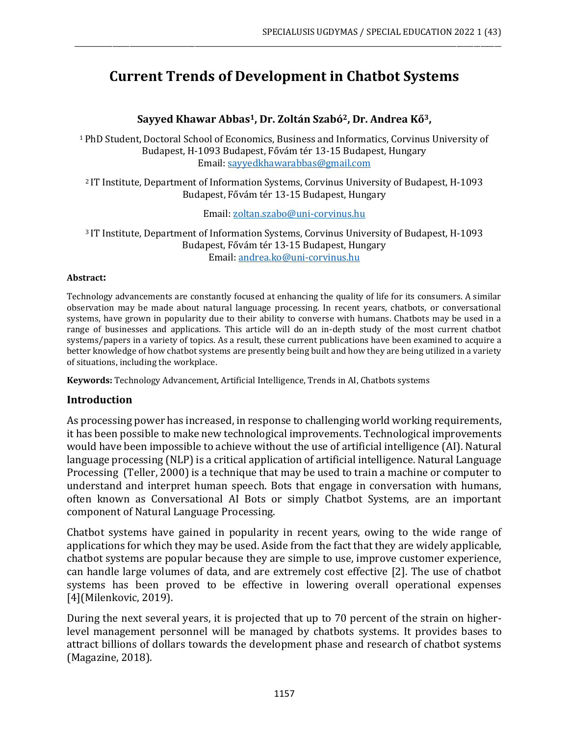# **Current Trends of Development in Chatbot Systems**

\_\_\_\_\_\_\_\_\_\_\_\_\_\_\_\_\_\_\_\_\_\_\_\_\_\_\_\_\_\_\_\_\_\_\_\_\_\_\_\_\_\_\_\_\_\_\_\_\_\_\_\_\_\_\_\_\_\_\_\_\_\_\_\_\_\_\_\_\_\_\_\_\_\_\_\_\_\_\_\_\_\_\_\_\_\_\_\_\_\_\_\_\_\_\_\_\_\_\_\_\_\_\_\_\_\_\_\_\_\_\_\_\_\_\_\_\_\_\_\_\_\_\_\_

**Sayyed Khawar Abbas1, Dr. Zoltán Szabó2, Dr. Andrea Kő3,**

<sup>1</sup>PhD Student, Doctoral School of Economics, Business and Informatics, Corvinus University of Budapest, H-1093 Budapest, Fővám tér 13-15 Budapest, Hungary Email: [sayyedkhawarabbas@gmail.com](mailto:sayyedkhawarabbas@gmail.com)

<sup>2</sup>IT Institute, Department of Information Systems, Corvinus University of Budapest, H-1093 Budapest, Fővám tér 13-15 Budapest, Hungary

Email: [zoltan.szabo@uni-corvinus.hu](mailto:zoltan.szabo@uni-corvinus.hu)

<sup>3</sup>IT Institute, Department of Information Systems, Corvinus University of Budapest, H-1093 Budapest, Fővám tér 13-15 Budapest, Hungary Email: [andrea.ko@uni-corvinus.hu](mailto:andrea.ko@uni-corvinus.hu)

#### **Abstract:**

Technology advancements are constantly focused at enhancing the quality of life for its consumers. A similar observation may be made about natural language processing. In recent years, chatbots, or conversational systems, have grown in popularity due to their ability to converse with humans. Chatbots may be used in a range of businesses and applications. This article will do an in-depth study of the most current chatbot systems/papers in a variety of topics. As a result, these current publications have been examined to acquire a better knowledge of how chatbot systems are presently being built and how they are being utilized in a variety of situations, including the workplace.

**Keywords:** Technology Advancement, Artificial Intelligence, Trends in AI, Chatbots systems

#### **Introduction**

As processing power has increased, in response to challenging world working requirements, it has been possible to make new technological improvements. Technological improvements would have been impossible to achieve without the use of artificial intelligence (AI). Natural language processing (NLP) is a critical application of artificial intelligence. Natural Language Processing (Teller, 2000) is a technique that may be used to train a machine or computer to understand and interpret human speech. Bots that engage in conversation with humans, often known as Conversational AI Bots or simply Chatbot Systems, are an important component of Natural Language Processing.

Chatbot systems have gained in popularity in recent years, owing to the wide range of applications for which they may be used. Aside from the fact that they are widely applicable, chatbot systems are popular because they are simple to use, improve customer experience, can handle large volumes of data, and are extremely cost effective [2]. The use of chatbot systems has been proved to be effective in lowering overall operational expenses [4](Milenkovic, 2019).

During the next several years, it is projected that up to 70 percent of the strain on higherlevel management personnel will be managed by chatbots systems. It provides bases to attract billions of dollars towards the development phase and research of chatbot systems (Magazine, 2018).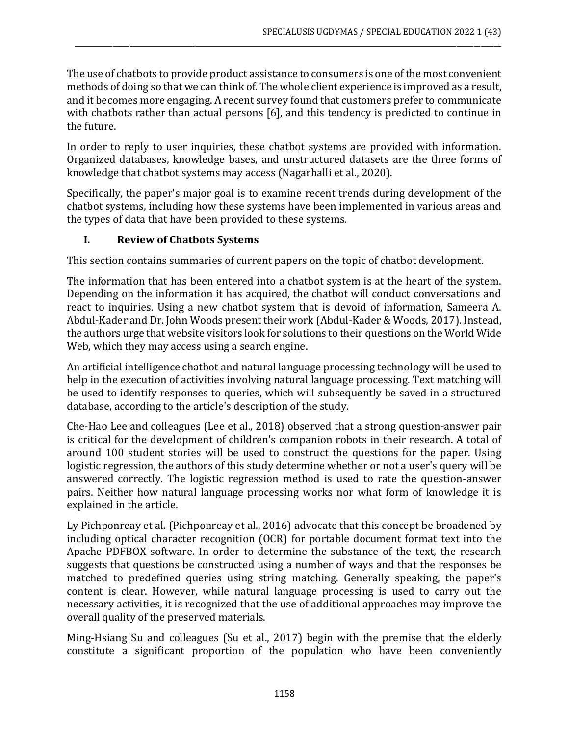The use of chatbots to provide product assistance to consumers is one of the most convenient methods of doing so that we can think of. The whole client experience is improved as a result, and it becomes more engaging. A recent survey found that customers prefer to communicate with chatbots rather than actual persons [6], and this tendency is predicted to continue in the future.

\_\_\_\_\_\_\_\_\_\_\_\_\_\_\_\_\_\_\_\_\_\_\_\_\_\_\_\_\_\_\_\_\_\_\_\_\_\_\_\_\_\_\_\_\_\_\_\_\_\_\_\_\_\_\_\_\_\_\_\_\_\_\_\_\_\_\_\_\_\_\_\_\_\_\_\_\_\_\_\_\_\_\_\_\_\_\_\_\_\_\_\_\_\_\_\_\_\_\_\_\_\_\_\_\_\_\_\_\_\_\_\_\_\_\_\_\_\_\_\_\_\_\_\_

In order to reply to user inquiries, these chatbot systems are provided with information. Organized databases, knowledge bases, and unstructured datasets are the three forms of knowledge that chatbot systems may access (Nagarhalli et al., 2020).

Specifically, the paper's major goal is to examine recent trends during development of the chatbot systems, including how these systems have been implemented in various areas and the types of data that have been provided to these systems.

## **I. Review of Chatbots Systems**

This section contains summaries of current papers on the topic of chatbot development.

The information that has been entered into a chatbot system is at the heart of the system. Depending on the information it has acquired, the chatbot will conduct conversations and react to inquiries. Using a new chatbot system that is devoid of information, Sameera A. Abdul-Kader and Dr. John Woods present their work (Abdul-Kader & Woods, 2017). Instead, the authors urge that website visitors look for solutions to their questions on the World Wide Web, which they may access using a search engine.

An artificial intelligence chatbot and natural language processing technology will be used to help in the execution of activities involving natural language processing. Text matching will be used to identify responses to queries, which will subsequently be saved in a structured database, according to the article's description of the study.

Che-Hao Lee and colleagues (Lee et al., 2018) observed that a strong question-answer pair is critical for the development of children's companion robots in their research. A total of around 100 student stories will be used to construct the questions for the paper. Using logistic regression, the authors of this study determine whether or not a user's query will be answered correctly. The logistic regression method is used to rate the question-answer pairs. Neither how natural language processing works nor what form of knowledge it is explained in the article.

Ly Pichponreay et al. (Pichponreay et al., 2016) advocate that this concept be broadened by including optical character recognition (OCR) for portable document format text into the Apache PDFBOX software. In order to determine the substance of the text, the research suggests that questions be constructed using a number of ways and that the responses be matched to predefined queries using string matching. Generally speaking, the paper's content is clear. However, while natural language processing is used to carry out the necessary activities, it is recognized that the use of additional approaches may improve the overall quality of the preserved materials.

Ming-Hsiang Su and colleagues (Su et al., 2017) begin with the premise that the elderly constitute a significant proportion of the population who have been conveniently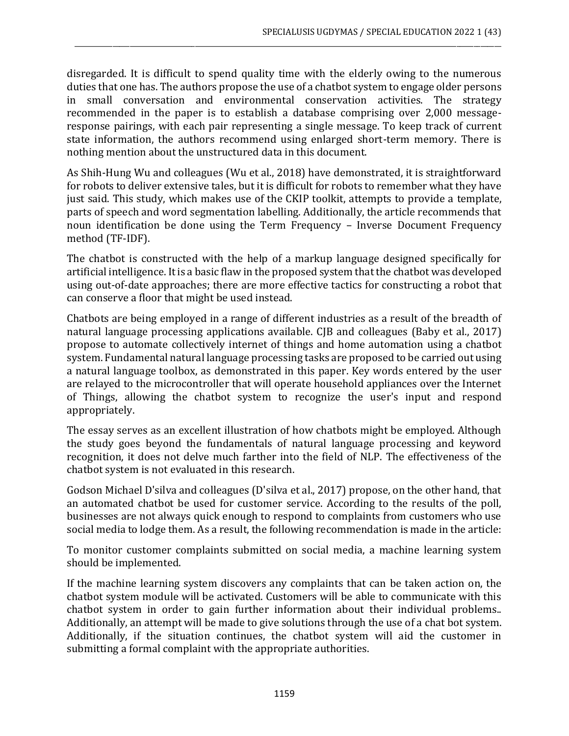disregarded. It is difficult to spend quality time with the elderly owing to the numerous duties that one has. The authors propose the use of a chatbot system to engage older persons in small conversation and environmental conservation activities. The strategy recommended in the paper is to establish a database comprising over 2,000 messageresponse pairings, with each pair representing a single message. To keep track of current state information, the authors recommend using enlarged short-term memory. There is nothing mention about the unstructured data in this document.

\_\_\_\_\_\_\_\_\_\_\_\_\_\_\_\_\_\_\_\_\_\_\_\_\_\_\_\_\_\_\_\_\_\_\_\_\_\_\_\_\_\_\_\_\_\_\_\_\_\_\_\_\_\_\_\_\_\_\_\_\_\_\_\_\_\_\_\_\_\_\_\_\_\_\_\_\_\_\_\_\_\_\_\_\_\_\_\_\_\_\_\_\_\_\_\_\_\_\_\_\_\_\_\_\_\_\_\_\_\_\_\_\_\_\_\_\_\_\_\_\_\_\_\_

As Shih-Hung Wu and colleagues (Wu et al., 2018) have demonstrated, it is straightforward for robots to deliver extensive tales, but it is difficult for robots to remember what they have just said. This study, which makes use of the CKIP toolkit, attempts to provide a template, parts of speech and word segmentation labelling. Additionally, the article recommends that noun identification be done using the Term Frequency – Inverse Document Frequency method (TF-IDF).

The chatbot is constructed with the help of a markup language designed specifically for artificial intelligence. It is a basic flaw in the proposed system that the chatbot was developed using out-of-date approaches; there are more effective tactics for constructing a robot that can conserve a floor that might be used instead.

Chatbots are being employed in a range of different industries as a result of the breadth of natural language processing applications available. CJB and colleagues (Baby et al., 2017) propose to automate collectively internet of things and home automation using a chatbot system. Fundamental natural language processing tasks are proposed to be carried out using a natural language toolbox, as demonstrated in this paper. Key words entered by the user are relayed to the microcontroller that will operate household appliances over the Internet of Things, allowing the chatbot system to recognize the user's input and respond appropriately.

The essay serves as an excellent illustration of how chatbots might be employed. Although the study goes beyond the fundamentals of natural language processing and keyword recognition, it does not delve much farther into the field of NLP. The effectiveness of the chatbot system is not evaluated in this research.

Godson Michael D'silva and colleagues (D'silva et al., 2017) propose, on the other hand, that an automated chatbot be used for customer service. According to the results of the poll, businesses are not always quick enough to respond to complaints from customers who use social media to lodge them. As a result, the following recommendation is made in the article:

To monitor customer complaints submitted on social media, a machine learning system should be implemented.

If the machine learning system discovers any complaints that can be taken action on, the chatbot system module will be activated. Customers will be able to communicate with this chatbot system in order to gain further information about their individual problems.. Additionally, an attempt will be made to give solutions through the use of a chat bot system. Additionally, if the situation continues, the chatbot system will aid the customer in submitting a formal complaint with the appropriate authorities.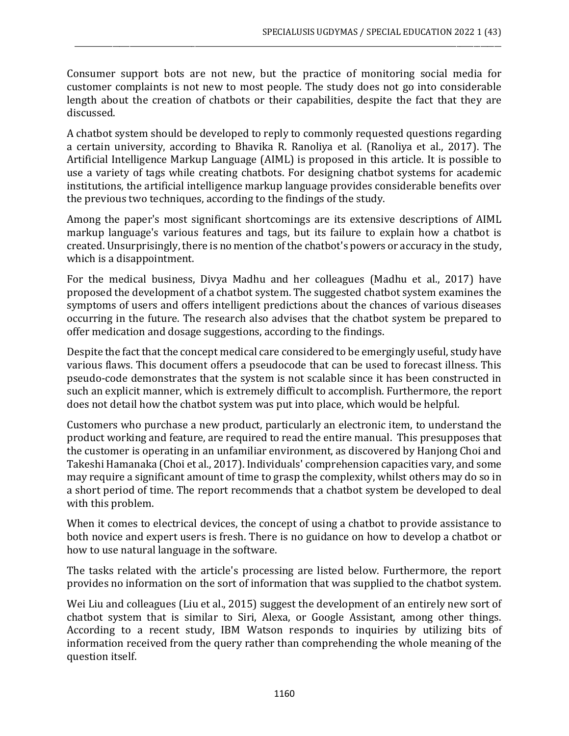Consumer support bots are not new, but the practice of monitoring social media for customer complaints is not new to most people. The study does not go into considerable length about the creation of chatbots or their capabilities, despite the fact that they are discussed.

\_\_\_\_\_\_\_\_\_\_\_\_\_\_\_\_\_\_\_\_\_\_\_\_\_\_\_\_\_\_\_\_\_\_\_\_\_\_\_\_\_\_\_\_\_\_\_\_\_\_\_\_\_\_\_\_\_\_\_\_\_\_\_\_\_\_\_\_\_\_\_\_\_\_\_\_\_\_\_\_\_\_\_\_\_\_\_\_\_\_\_\_\_\_\_\_\_\_\_\_\_\_\_\_\_\_\_\_\_\_\_\_\_\_\_\_\_\_\_\_\_\_\_\_

A chatbot system should be developed to reply to commonly requested questions regarding a certain university, according to Bhavika R. Ranoliya et al. (Ranoliya et al., 2017). The Artificial Intelligence Markup Language (AIML) is proposed in this article. It is possible to use a variety of tags while creating chatbots. For designing chatbot systems for academic institutions, the artificial intelligence markup language provides considerable benefits over the previous two techniques, according to the findings of the study.

Among the paper's most significant shortcomings are its extensive descriptions of AIML markup language's various features and tags, but its failure to explain how a chatbot is created. Unsurprisingly, there is no mention of the chatbot's powers or accuracy in the study, which is a disappointment.

For the medical business, Divya Madhu and her colleagues (Madhu et al., 2017) have proposed the development of a chatbot system. The suggested chatbot system examines the symptoms of users and offers intelligent predictions about the chances of various diseases occurring in the future. The research also advises that the chatbot system be prepared to offer medication and dosage suggestions, according to the findings.

Despite the fact that the concept medical care considered to be emergingly useful, study have various flaws. This document offers a pseudocode that can be used to forecast illness. This pseudo-code demonstrates that the system is not scalable since it has been constructed in such an explicit manner, which is extremely difficult to accomplish. Furthermore, the report does not detail how the chatbot system was put into place, which would be helpful.

Customers who purchase a new product, particularly an electronic item, to understand the product working and feature, are required to read the entire manual. This presupposes that the customer is operating in an unfamiliar environment, as discovered by Hanjong Choi and Takeshi Hamanaka (Choi et al., 2017). Individuals' comprehension capacities vary, and some may require a significant amount of time to grasp the complexity, whilst others may do so in a short period of time. The report recommends that a chatbot system be developed to deal with this problem.

When it comes to electrical devices, the concept of using a chatbot to provide assistance to both novice and expert users is fresh. There is no guidance on how to develop a chatbot or how to use natural language in the software.

The tasks related with the article's processing are listed below. Furthermore, the report provides no information on the sort of information that was supplied to the chatbot system.

Wei Liu and colleagues (Liu et al., 2015) suggest the development of an entirely new sort of chatbot system that is similar to Siri, Alexa, or Google Assistant, among other things. According to a recent study, IBM Watson responds to inquiries by utilizing bits of information received from the query rather than comprehending the whole meaning of the question itself.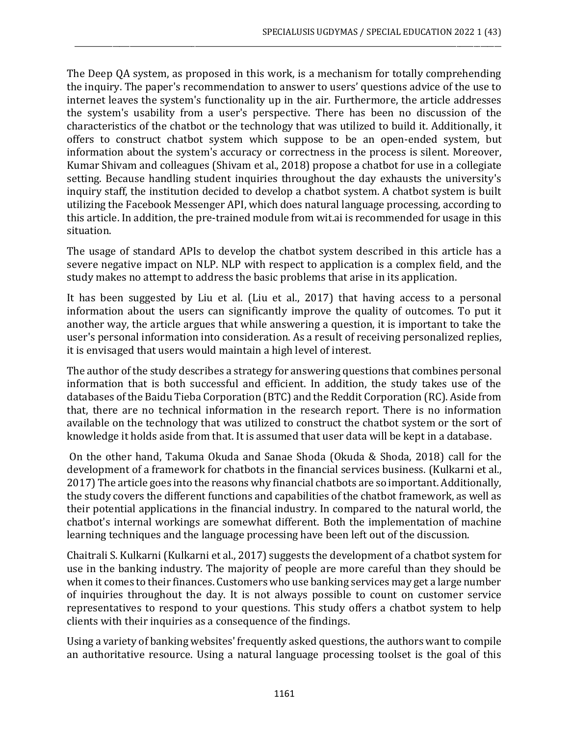The Deep QA system, as proposed in this work, is a mechanism for totally comprehending the inquiry. The paper's recommendation to answer to users' questions advice of the use to internet leaves the system's functionality up in the air. Furthermore, the article addresses the system's usability from a user's perspective. There has been no discussion of the characteristics of the chatbot or the technology that was utilized to build it. Additionally, it offers to construct chatbot system which suppose to be an open-ended system, but information about the system's accuracy or correctness in the process is silent. Moreover, Kumar Shivam and colleagues (Shivam et al., 2018) propose a chatbot for use in a collegiate setting. Because handling student inquiries throughout the day exhausts the university's inquiry staff, the institution decided to develop a chatbot system. A chatbot system is built utilizing the Facebook Messenger API, which does natural language processing, according to this article. In addition, the pre-trained module from wit.ai is recommended for usage in this situation.

\_\_\_\_\_\_\_\_\_\_\_\_\_\_\_\_\_\_\_\_\_\_\_\_\_\_\_\_\_\_\_\_\_\_\_\_\_\_\_\_\_\_\_\_\_\_\_\_\_\_\_\_\_\_\_\_\_\_\_\_\_\_\_\_\_\_\_\_\_\_\_\_\_\_\_\_\_\_\_\_\_\_\_\_\_\_\_\_\_\_\_\_\_\_\_\_\_\_\_\_\_\_\_\_\_\_\_\_\_\_\_\_\_\_\_\_\_\_\_\_\_\_\_\_

The usage of standard APIs to develop the chatbot system described in this article has a severe negative impact on NLP. NLP with respect to application is a complex field, and the study makes no attempt to address the basic problems that arise in its application.

It has been suggested by Liu et al. (Liu et al., 2017) that having access to a personal information about the users can significantly improve the quality of outcomes. To put it another way, the article argues that while answering a question, it is important to take the user's personal information into consideration. As a result of receiving personalized replies, it is envisaged that users would maintain a high level of interest.

The author of the study describes a strategy for answering questions that combines personal information that is both successful and efficient. In addition, the study takes use of the databases of the Baidu Tieba Corporation (BTC) and the Reddit Corporation (RC). Aside from that, there are no technical information in the research report. There is no information available on the technology that was utilized to construct the chatbot system or the sort of knowledge it holds aside from that. It is assumed that user data will be kept in a database.

On the other hand, Takuma Okuda and Sanae Shoda (Okuda & Shoda, 2018) call for the development of a framework for chatbots in the financial services business. (Kulkarni et al., 2017) The article goes into the reasons why financial chatbots are so important. Additionally, the study covers the different functions and capabilities of the chatbot framework, as well as their potential applications in the financial industry. In compared to the natural world, the chatbot's internal workings are somewhat different. Both the implementation of machine learning techniques and the language processing have been left out of the discussion.

Chaitrali S. Kulkarni (Kulkarni et al., 2017) suggests the development of a chatbot system for use in the banking industry. The majority of people are more careful than they should be when it comes to their finances. Customers who use banking services may get a large number of inquiries throughout the day. It is not always possible to count on customer service representatives to respond to your questions. This study offers a chatbot system to help clients with their inquiries as a consequence of the findings.

Using a variety of banking websites' frequently asked questions, the authors want to compile an authoritative resource. Using a natural language processing toolset is the goal of this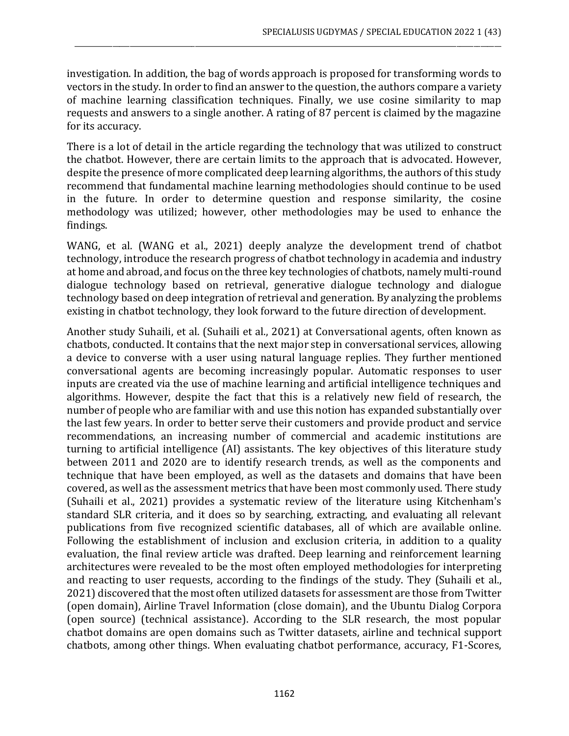investigation. In addition, the bag of words approach is proposed for transforming words to vectors in the study. In order to find an answer to the question, the authors compare a variety of machine learning classification techniques. Finally, we use cosine similarity to map requests and answers to a single another. A rating of 87 percent is claimed by the magazine for its accuracy.

\_\_\_\_\_\_\_\_\_\_\_\_\_\_\_\_\_\_\_\_\_\_\_\_\_\_\_\_\_\_\_\_\_\_\_\_\_\_\_\_\_\_\_\_\_\_\_\_\_\_\_\_\_\_\_\_\_\_\_\_\_\_\_\_\_\_\_\_\_\_\_\_\_\_\_\_\_\_\_\_\_\_\_\_\_\_\_\_\_\_\_\_\_\_\_\_\_\_\_\_\_\_\_\_\_\_\_\_\_\_\_\_\_\_\_\_\_\_\_\_\_\_\_\_

There is a lot of detail in the article regarding the technology that was utilized to construct the chatbot. However, there are certain limits to the approach that is advocated. However, despite the presence of more complicated deep learning algorithms, the authors of this study recommend that fundamental machine learning methodologies should continue to be used in the future. In order to determine question and response similarity, the cosine methodology was utilized; however, other methodologies may be used to enhance the findings.

WANG, et al. (WANG et al., 2021) deeply analyze the development trend of chatbot technology, introduce the research progress of chatbot technology in academia and industry at home and abroad, and focus on the three key technologies of chatbots, namely multi-round dialogue technology based on retrieval, generative dialogue technology and dialogue technology based on deep integration of retrieval and generation. By analyzing the problems existing in chatbot technology, they look forward to the future direction of development.

Another study Suhaili, et al. (Suhaili et al., 2021) at Conversational agents, often known as chatbots, conducted. It contains that the next major step in conversational services, allowing a device to converse with a user using natural language replies. They further mentioned conversational agents are becoming increasingly popular. Automatic responses to user inputs are created via the use of machine learning and artificial intelligence techniques and algorithms. However, despite the fact that this is a relatively new field of research, the number of people who are familiar with and use this notion has expanded substantially over the last few years. In order to better serve their customers and provide product and service recommendations, an increasing number of commercial and academic institutions are turning to artificial intelligence (AI) assistants. The key objectives of this literature study between 2011 and 2020 are to identify research trends, as well as the components and technique that have been employed, as well as the datasets and domains that have been covered, as well as the assessment metrics that have been most commonly used. There study (Suhaili et al., 2021) provides a systematic review of the literature using Kitchenham's standard SLR criteria, and it does so by searching, extracting, and evaluating all relevant publications from five recognized scientific databases, all of which are available online. Following the establishment of inclusion and exclusion criteria, in addition to a quality evaluation, the final review article was drafted. Deep learning and reinforcement learning architectures were revealed to be the most often employed methodologies for interpreting and reacting to user requests, according to the findings of the study. They (Suhaili et al., 2021) discovered that the most often utilized datasets for assessment are those from Twitter (open domain), Airline Travel Information (close domain), and the Ubuntu Dialog Corpora (open source) (technical assistance). According to the SLR research, the most popular chatbot domains are open domains such as Twitter datasets, airline and technical support chatbots, among other things. When evaluating chatbot performance, accuracy, F1-Scores,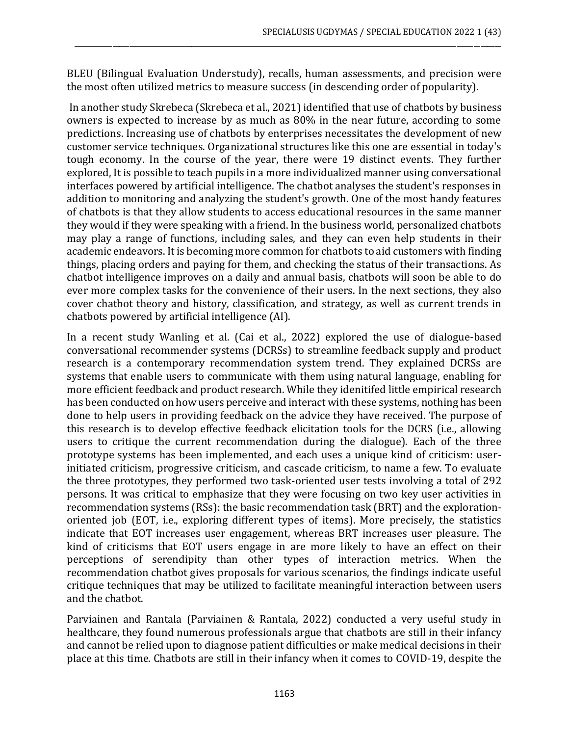BLEU (Bilingual Evaluation Understudy), recalls, human assessments, and precision were the most often utilized metrics to measure success (in descending order of popularity).

\_\_\_\_\_\_\_\_\_\_\_\_\_\_\_\_\_\_\_\_\_\_\_\_\_\_\_\_\_\_\_\_\_\_\_\_\_\_\_\_\_\_\_\_\_\_\_\_\_\_\_\_\_\_\_\_\_\_\_\_\_\_\_\_\_\_\_\_\_\_\_\_\_\_\_\_\_\_\_\_\_\_\_\_\_\_\_\_\_\_\_\_\_\_\_\_\_\_\_\_\_\_\_\_\_\_\_\_\_\_\_\_\_\_\_\_\_\_\_\_\_\_\_\_

In another study Skrebeca (Skrebeca et al., 2021) identified that use of chatbots by business owners is expected to increase by as much as 80% in the near future, according to some predictions. Increasing use of chatbots by enterprises necessitates the development of new customer service techniques. Organizational structures like this one are essential in today's tough economy. In the course of the year, there were 19 distinct events. They further explored, It is possible to teach pupils in a more individualized manner using conversational interfaces powered by artificial intelligence. The chatbot analyses the student's responses in addition to monitoring and analyzing the student's growth. One of the most handy features of chatbots is that they allow students to access educational resources in the same manner they would if they were speaking with a friend. In the business world, personalized chatbots may play a range of functions, including sales, and they can even help students in their academic endeavors. It is becoming more common for chatbots to aid customers with finding things, placing orders and paying for them, and checking the status of their transactions. As chatbot intelligence improves on a daily and annual basis, chatbots will soon be able to do ever more complex tasks for the convenience of their users. In the next sections, they also cover chatbot theory and history, classification, and strategy, as well as current trends in chatbots powered by artificial intelligence (AI).

In a recent study Wanling et al. (Cai et al., 2022) explored the use of dialogue-based conversational recommender systems (DCRSs) to streamline feedback supply and product research is a contemporary recommendation system trend. They explained DCRSs are systems that enable users to communicate with them using natural language, enabling for more efficient feedback and product research. While they idenitifed little empirical research has been conducted on how users perceive and interact with these systems, nothing has been done to help users in providing feedback on the advice they have received. The purpose of this research is to develop effective feedback elicitation tools for the DCRS (i.e., allowing users to critique the current recommendation during the dialogue). Each of the three prototype systems has been implemented, and each uses a unique kind of criticism: userinitiated criticism, progressive criticism, and cascade criticism, to name a few. To evaluate the three prototypes, they performed two task-oriented user tests involving a total of 292 persons. It was critical to emphasize that they were focusing on two key user activities in recommendation systems (RSs): the basic recommendation task (BRT) and the explorationoriented job (EOT, i.e., exploring different types of items). More precisely, the statistics indicate that EOT increases user engagement, whereas BRT increases user pleasure. The kind of criticisms that EOT users engage in are more likely to have an effect on their perceptions of serendipity than other types of interaction metrics. When the recommendation chatbot gives proposals for various scenarios, the findings indicate useful critique techniques that may be utilized to facilitate meaningful interaction between users and the chatbot.

Parviainen and Rantala (Parviainen & Rantala, 2022) conducted a very useful study in healthcare, they found numerous professionals argue that chatbots are still in their infancy and cannot be relied upon to diagnose patient difficulties or make medical decisions in their place at this time. Chatbots are still in their infancy when it comes to COVID-19, despite the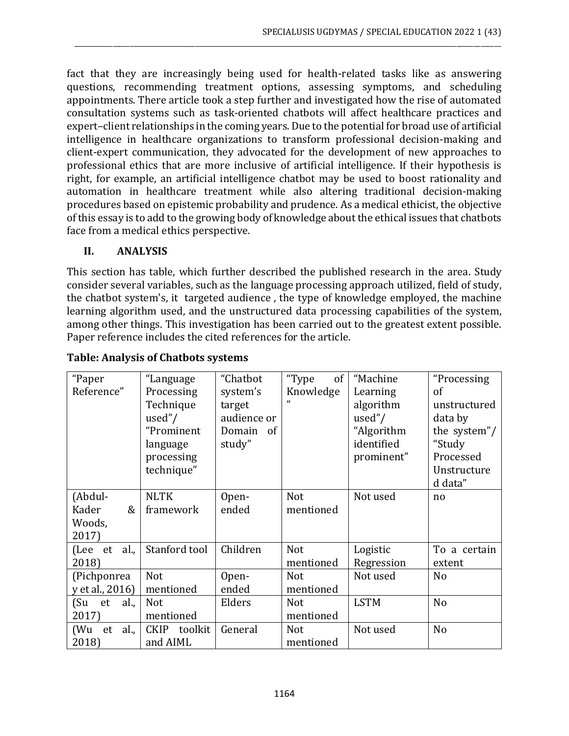fact that they are increasingly being used for health-related tasks like as answering questions, recommending treatment options, assessing symptoms, and scheduling appointments. There article took a step further and investigated how the rise of automated consultation systems such as task-oriented chatbots will affect healthcare practices and expert–client relationships in the coming years. Due to the potential for broad use of artificial intelligence in healthcare organizations to transform professional decision-making and client-expert communication, they advocated for the development of new approaches to professional ethics that are more inclusive of artificial intelligence. If their hypothesis is right, for example, an artificial intelligence chatbot may be used to boost rationality and automation in healthcare treatment while also altering traditional decision-making procedures based on epistemic probability and prudence. As a medical ethicist, the objective of this essay is to add to the growing body of knowledge about the ethical issues that chatbots face from a medical ethics perspective.

\_\_\_\_\_\_\_\_\_\_\_\_\_\_\_\_\_\_\_\_\_\_\_\_\_\_\_\_\_\_\_\_\_\_\_\_\_\_\_\_\_\_\_\_\_\_\_\_\_\_\_\_\_\_\_\_\_\_\_\_\_\_\_\_\_\_\_\_\_\_\_\_\_\_\_\_\_\_\_\_\_\_\_\_\_\_\_\_\_\_\_\_\_\_\_\_\_\_\_\_\_\_\_\_\_\_\_\_\_\_\_\_\_\_\_\_\_\_\_\_\_\_\_\_

## **II. ANALYSIS**

This section has table, which further described the published research in the area. Study consider several variables, such as the language processing approach utilized, field of study, the chatbot system's, it targeted audience , the type of knowledge employed, the machine learning algorithm used, and the unstructured data processing capabilities of the system, among other things. This investigation has been carried out to the greatest extent possible. Paper reference includes the cited references for the article.

| "Paper             | "Language              | "Chatbot    | "Type<br>of | "Machine    | "Processing    |
|--------------------|------------------------|-------------|-------------|-------------|----------------|
| Reference"         | Processing             | system's    | Knowledge   | Learning    | <sub>of</sub>  |
|                    | Technique              | target      | "           | algorithm   | unstructured   |
|                    | used"/                 | audience or |             | used"/      | data by        |
|                    | "Prominent             | Domain of   |             | "Algorithm  | the system"/   |
|                    | language               | study"      |             | identified  | "Study         |
|                    | processing             |             |             | prominent"  | Processed      |
|                    | technique"             |             |             |             | Unstructure    |
|                    |                        |             |             |             | d data"        |
| (Abdul-            | <b>NLTK</b>            | Open-       | Not         | Not used    | no             |
| &<br>Kader         | framework              | ended       | mentioned   |             |                |
| Woods,             |                        |             |             |             |                |
| 2017)              |                        |             |             |             |                |
| al.,<br>(Lee<br>et | Stanford tool          | Children    | Not         | Logistic    | To a certain   |
| 2018)              |                        |             | mentioned   | Regression  | extent         |
| (Pichponrea        | <b>Not</b>             | Open-       | <b>Not</b>  | Not used    | No             |
| y et al., 2016)    | mentioned              | ended       | mentioned   |             |                |
| (Su<br>al.,<br>et  | <b>Not</b>             | Elders      | <b>Not</b>  | <b>LSTM</b> | N <sub>o</sub> |
| 2017)              | mentioned              |             | mentioned   |             |                |
| al.,<br>(Wu<br>et  | toolkit<br><b>CKIP</b> | General     | <b>Not</b>  | Not used    | N <sub>o</sub> |
| 2018)              | and AIML               |             | mentioned   |             |                |

## **Table: Analysis of Chatbots systems**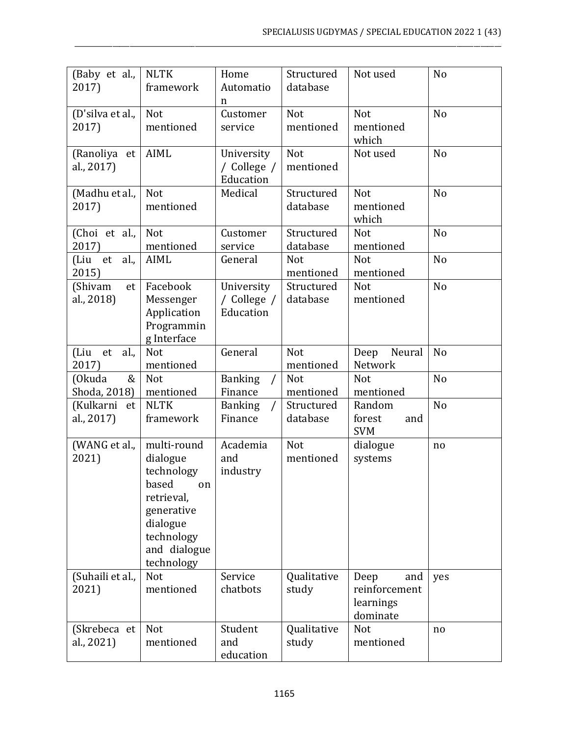| (Baby et al.,<br>2017)      | <b>NLTK</b><br>framework                                                                                                                 | Home<br>Automatio<br>n                 | Structured<br>database  | Not used                                              | No             |
|-----------------------------|------------------------------------------------------------------------------------------------------------------------------------------|----------------------------------------|-------------------------|-------------------------------------------------------|----------------|
| (D'silva et al.,<br>2017)   | <b>Not</b><br>mentioned                                                                                                                  | Customer<br>service                    | <b>Not</b><br>mentioned | Not<br>mentioned<br>which                             | No             |
| (Ranoliya et<br>al., 2017)  | <b>AIML</b>                                                                                                                              | University<br>/ College /<br>Education | Not<br>mentioned        | Not used                                              | No             |
| (Madhu et al.,<br>2017)     | Not<br>mentioned                                                                                                                         | Medical                                | Structured<br>database  | Not<br>mentioned<br>which                             | N <sub>o</sub> |
| (Choi et al.,<br>2017)      | Not<br>mentioned                                                                                                                         | Customer<br>service                    | Structured<br>database  | Not<br>mentioned                                      | No             |
| al.,<br>(Liu et<br>2015)    | AIML                                                                                                                                     | General                                | <b>Not</b><br>mentioned | Not<br>mentioned                                      | No             |
| (Shivam<br>et<br>al., 2018) | Facebook<br>Messenger<br>Application<br>Programmin<br>g Interface                                                                        | University<br>/ College /<br>Education | Structured<br>database  | Not<br>mentioned                                      | No             |
| (Liu et<br>al.,<br>2017)    | Not<br>mentioned                                                                                                                         | General                                | Not<br>mentioned        | Neural<br>Deep<br>Network                             | No             |
| (Okuda<br>&<br>Shoda, 2018) | <b>Not</b><br>mentioned                                                                                                                  | <b>Banking</b><br>Finance              | Not<br>mentioned        | Not<br>mentioned                                      | No             |
| (Kulkarni et<br>al., 2017)  | <b>NLTK</b><br>framework                                                                                                                 | <b>Banking</b><br>Finance              | Structured<br>database  | Random<br>forest<br>and<br><b>SVM</b>                 | N <sub>o</sub> |
| (WANG et al.,<br>2021)      | multi-round<br>dialogue<br>technology<br>based<br>on<br>retrieval,<br>generative<br>dialogue<br>technology<br>and dialogue<br>technology | Academia<br>and<br>industry            | Not<br>mentioned        | dialogue<br>systems                                   | no             |
| (Suhaili et al.,<br>2021)   | Not<br>mentioned                                                                                                                         | Service<br>chatbots                    | Qualitative<br>study    | Deep<br>and<br>reinforcement<br>learnings<br>dominate | yes            |
| (Skrebeca et<br>al., 2021)  | <b>Not</b><br>mentioned                                                                                                                  | Student<br>and<br>education            | Qualitative<br>study    | Not<br>mentioned                                      | no             |

\_\_\_\_\_\_\_\_\_\_\_\_\_\_\_\_\_\_\_\_\_\_\_\_\_\_\_\_\_\_\_\_\_\_\_\_\_\_\_\_\_\_\_\_\_\_\_\_\_\_\_\_\_\_\_\_\_\_\_\_\_\_\_\_\_\_\_\_\_\_\_\_\_\_\_\_\_\_\_\_\_\_\_\_\_\_\_\_\_\_\_\_\_\_\_\_\_\_\_\_\_\_\_\_\_\_\_\_\_\_\_\_\_\_\_\_\_\_\_\_\_\_\_\_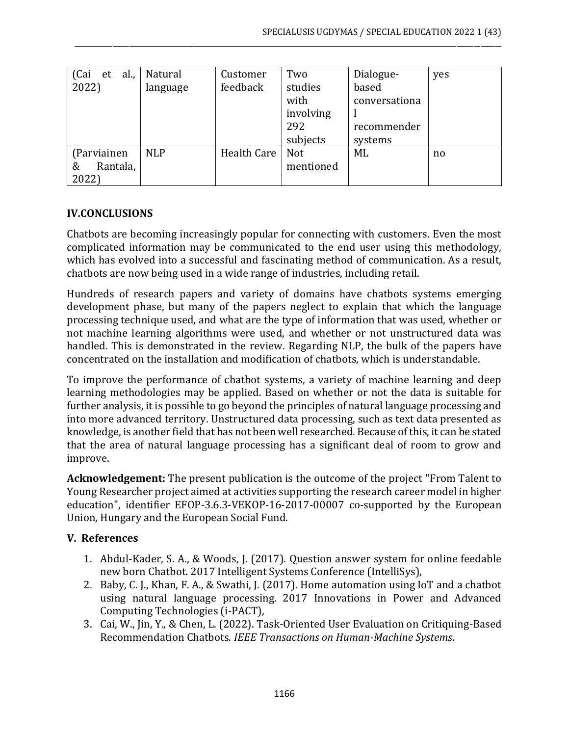| al.,<br>(Cai<br>et | Natural    | Customer           | Two        | Dialogue-     | yes |
|--------------------|------------|--------------------|------------|---------------|-----|
| 2022)              | language   | feedback           | studies    | based         |     |
|                    |            |                    | with       | conversationa |     |
|                    |            |                    | involving  |               |     |
|                    |            |                    | 292        | recommender   |     |
|                    |            |                    | subjects   | systems       |     |
| (Parviainen        | <b>NLP</b> | <b>Health Care</b> | <b>Not</b> | ML            | no  |
| Rantala,<br>&      |            |                    | mentioned  |               |     |
| 2022)              |            |                    |            |               |     |

\_\_\_\_\_\_\_\_\_\_\_\_\_\_\_\_\_\_\_\_\_\_\_\_\_\_\_\_\_\_\_\_\_\_\_\_\_\_\_\_\_\_\_\_\_\_\_\_\_\_\_\_\_\_\_\_\_\_\_\_\_\_\_\_\_\_\_\_\_\_\_\_\_\_\_\_\_\_\_\_\_\_\_\_\_\_\_\_\_\_\_\_\_\_\_\_\_\_\_\_\_\_\_\_\_\_\_\_\_\_\_\_\_\_\_\_\_\_\_\_\_\_\_\_

#### **IV.CONCLUSIONS**

Chatbots are becoming increasingly popular for connecting with customers. Even the most complicated information may be communicated to the end user using this methodology, which has evolved into a successful and fascinating method of communication. As a result, chatbots are now being used in a wide range of industries, including retail.

Hundreds of research papers and variety of domains have chatbots systems emerging development phase, but many of the papers neglect to explain that which the language processing technique used, and what are the type of information that was used, whether or not machine learning algorithms were used, and whether or not unstructured data was handled. This is demonstrated in the review. Regarding NLP, the bulk of the papers have concentrated on the installation and modification of chatbots, which is understandable.

To improve the performance of chatbot systems, a variety of machine learning and deep learning methodologies may be applied. Based on whether or not the data is suitable for further analysis, it is possible to go beyond the principles of natural language processing and into more advanced territory. Unstructured data processing, such as text data presented as knowledge, is another field that has not been well researched. Because of this, it can be stated that the area of natural language processing has a significant deal of room to grow and improve.

**Acknowledgement:** The present publication is the outcome of the project "From Talent to Young Researcher project aimed at activities supporting the research career model in higher education", identifier EFOP-3.6.3-VEKOP-16-2017-00007 co-supported by the European Union, Hungary and the European Social Fund.

#### **V. References**

- 1. Abdul-Kader, S. A., & Woods, J. (2017). Question answer system for online feedable new born Chatbot. 2017 Intelligent Systems Conference (IntelliSys),
- 2. Baby, C. J., Khan, F. A., & Swathi, J. (2017). Home automation using IoT and a chatbot using natural language processing. 2017 Innovations in Power and Advanced Computing Technologies (i-PACT),
- 3. Cai, W., Jin, Y., & Chen, L. (2022). Task-Oriented User Evaluation on Critiquing-Based Recommendation Chatbots. *IEEE Transactions on Human-Machine Systems*.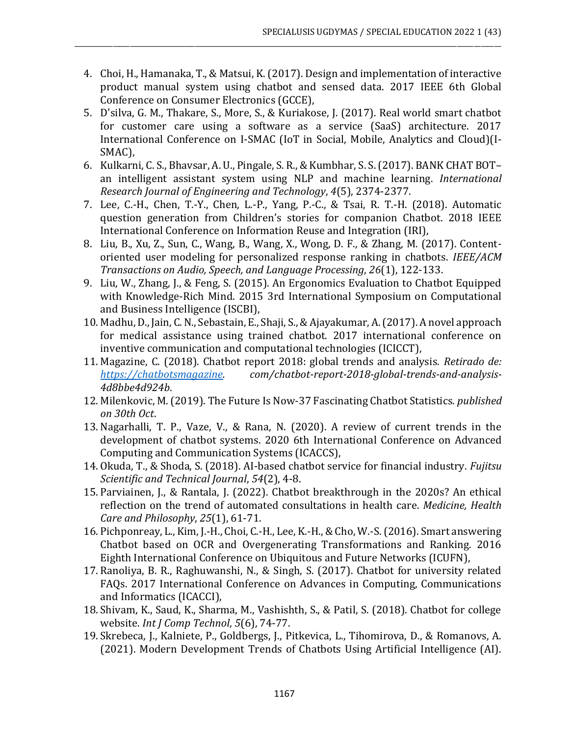4. Choi, H., Hamanaka, T., & Matsui, K. (2017). Design and implementation of interactive product manual system using chatbot and sensed data. 2017 IEEE 6th Global Conference on Consumer Electronics (GCCE),

\_\_\_\_\_\_\_\_\_\_\_\_\_\_\_\_\_\_\_\_\_\_\_\_\_\_\_\_\_\_\_\_\_\_\_\_\_\_\_\_\_\_\_\_\_\_\_\_\_\_\_\_\_\_\_\_\_\_\_\_\_\_\_\_\_\_\_\_\_\_\_\_\_\_\_\_\_\_\_\_\_\_\_\_\_\_\_\_\_\_\_\_\_\_\_\_\_\_\_\_\_\_\_\_\_\_\_\_\_\_\_\_\_\_\_\_\_\_\_\_\_\_\_\_

- 5. D'silva, G. M., Thakare, S., More, S., & Kuriakose, J. (2017). Real world smart chatbot for customer care using a software as a service (SaaS) architecture. 2017 International Conference on I-SMAC (IoT in Social, Mobile, Analytics and Cloud)(I-SMAC),
- 6. Kulkarni, C. S., Bhavsar, A. U., Pingale, S. R., & Kumbhar, S. S. (2017). BANK CHAT BOT– an intelligent assistant system using NLP and machine learning. *International Research Journal of Engineering and Technology*, *4*(5), 2374-2377.
- 7. Lee, C.-H., Chen, T.-Y., Chen, L.-P., Yang, P.-C., & Tsai, R. T.-H. (2018). Automatic question generation from Children's stories for companion Chatbot. 2018 IEEE International Conference on Information Reuse and Integration (IRI),
- 8. Liu, B., Xu, Z., Sun, C., Wang, B., Wang, X., Wong, D. F., & Zhang, M. (2017). Contentoriented user modeling for personalized response ranking in chatbots. *IEEE/ACM Transactions on Audio, Speech, and Language Processing*, *26*(1), 122-133.
- 9. Liu, W., Zhang, J., & Feng, S. (2015). An Ergonomics Evaluation to Chatbot Equipped with Knowledge-Rich Mind. 2015 3rd International Symposium on Computational and Business Intelligence (ISCBI),
- 10. Madhu, D., Jain, C. N., Sebastain, E., Shaji, S., & Ajayakumar, A. (2017). A novel approach for medical assistance using trained chatbot. 2017 international conference on inventive communication and computational technologies (ICICCT),
- 11. Magazine, C. (2018). Chatbot report 2018: global trends and analysis. *Retirado de: [https://chatbotsmagazine.](https://chatbotsmagazine/) com/chatbot-report-2018-global-trends-and-analysis-4d8bbe4d924b*.
- 12. Milenkovic, M. (2019). The Future Is Now-37 Fascinating Chatbot Statistics. *published on 30th Oct*.
- 13. Nagarhalli, T. P., Vaze, V., & Rana, N. (2020). A review of current trends in the development of chatbot systems. 2020 6th International Conference on Advanced Computing and Communication Systems (ICACCS),
- 14. Okuda, T., & Shoda, S. (2018). AI-based chatbot service for financial industry. *Fujitsu Scientific and Technical Journal*, *54*(2), 4-8.
- 15. Parviainen, J., & Rantala, J. (2022). Chatbot breakthrough in the 2020s? An ethical reflection on the trend of automated consultations in health care. *Medicine, Health Care and Philosophy*, *25*(1), 61-71.
- 16. Pichponreay, L., Kim, J.-H., Choi, C.-H., Lee, K.-H., & Cho, W.-S. (2016). Smart answering Chatbot based on OCR and Overgenerating Transformations and Ranking. 2016 Eighth International Conference on Ubiquitous and Future Networks (ICUFN),
- 17. Ranoliya, B. R., Raghuwanshi, N., & Singh, S. (2017). Chatbot for university related FAQs. 2017 International Conference on Advances in Computing, Communications and Informatics (ICACCI),
- 18. Shivam, K., Saud, K., Sharma, M., Vashishth, S., & Patil, S. (2018). Chatbot for college website. *Int J Comp Technol*, *5*(6), 74-77.
- 19. Skrebeca, J., Kalniete, P., Goldbergs, J., Pitkevica, L., Tihomirova, D., & Romanovs, A. (2021). Modern Development Trends of Chatbots Using Artificial Intelligence (AI).